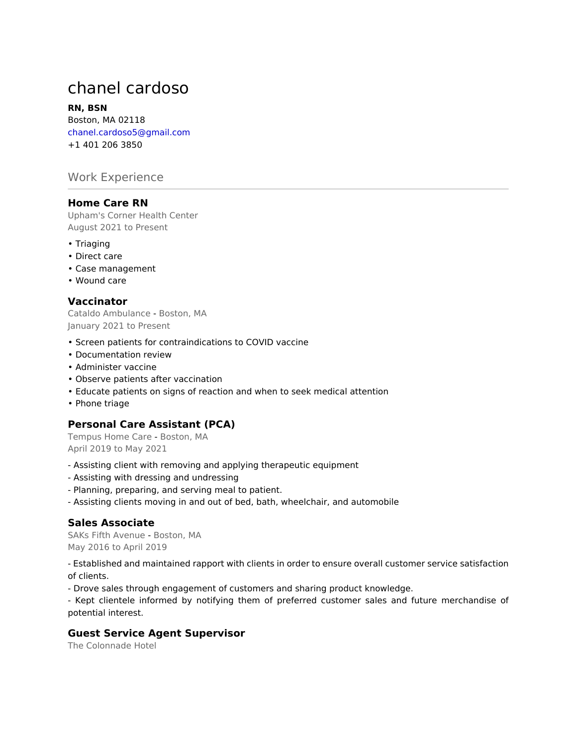# chanel cardoso

#### **RN, BSN**

Boston, MA 02118 chanel.cardoso5@gmail.com +1 401 206 3850

# Work Experience

#### **Home Care RN**

Upham's Corner Health Center August 2021 to Present

- Triaging
- Direct care
- Case management
- Wound care

## **Vaccinator**

Cataldo Ambulance - Boston, MA January 2021 to Present

- Screen patients for contraindications to COVID vaccine
- Documentation review
- Administer vaccine
- Observe patients after vaccination
- Educate patients on signs of reaction and when to seek medical attention
- Phone triage

## **Personal Care Assistant (PCA)**

Tempus Home Care - Boston, MA April 2019 to May 2021

- Assisting client with removing and applying therapeutic equipment
- Assisting with dressing and undressing
- Planning, preparing, and serving meal to patient.
- Assisting clients moving in and out of bed, bath, wheelchair, and automobile

## **Sales Associate**

SAKs Fifth Avenue - Boston, MA May 2016 to April 2019

- Established and maintained rapport with clients in order to ensure overall customer service satisfaction of clients.

- Drove sales through engagement of customers and sharing product knowledge.

- Kept clientele informed by notifying them of preferred customer sales and future merchandise of potential interest.

## **Guest Service Agent Supervisor**

The Colonnade Hotel